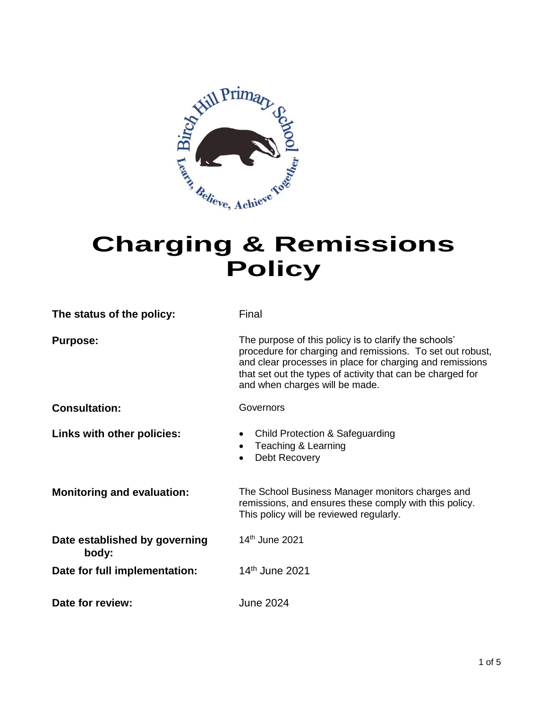

# **Charging & Remissions Policy**

| The status of the policy:              | Final                                                                                                                                                                                                                                                                          |
|----------------------------------------|--------------------------------------------------------------------------------------------------------------------------------------------------------------------------------------------------------------------------------------------------------------------------------|
| <b>Purpose:</b>                        | The purpose of this policy is to clarify the schools'<br>procedure for charging and remissions. To set out robust,<br>and clear processes in place for charging and remissions<br>that set out the types of activity that can be charged for<br>and when charges will be made. |
| <b>Consultation:</b>                   | Governors                                                                                                                                                                                                                                                                      |
| Links with other policies:             | <b>Child Protection &amp; Safeguarding</b><br>Teaching & Learning<br>$\bullet$<br>Debt Recovery                                                                                                                                                                                |
| <b>Monitoring and evaluation:</b>      | The School Business Manager monitors charges and<br>remissions, and ensures these comply with this policy.<br>This policy will be reviewed regularly.                                                                                                                          |
| Date established by governing<br>body: | 14 <sup>th</sup> June 2021                                                                                                                                                                                                                                                     |
| Date for full implementation:          | 14th June 2021                                                                                                                                                                                                                                                                 |
| Date for review:                       | <b>June 2024</b>                                                                                                                                                                                                                                                               |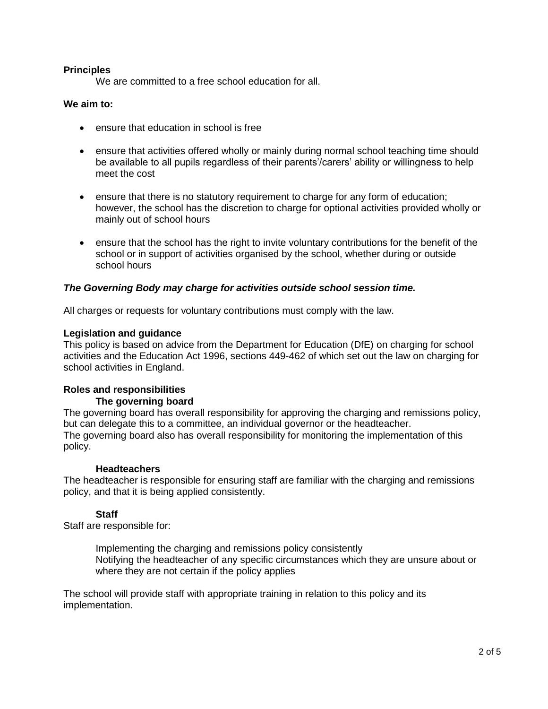# **Principles**

We are committed to a free school education for all.

# **We aim to:**

- ensure that education in school is free
- ensure that activities offered wholly or mainly during normal school teaching time should be available to all pupils regardless of their parents'/carers' ability or willingness to help meet the cost
- ensure that there is no statutory requirement to charge for any form of education; however, the school has the discretion to charge for optional activities provided wholly or mainly out of school hours
- ensure that the school has the right to invite voluntary contributions for the benefit of the school or in support of activities organised by the school, whether during or outside school hours

# *The Governing Body may charge for activities outside school session time.*

All charges or requests for voluntary contributions must comply with the law.

# **Legislation and guidance**

This policy is based on advice from the Department for Education (DfE) on charging for school activities and the Education Act 1996, sections 449-462 of which set out the law on charging for school activities in England.

# **Roles and responsibilities The governing board**

The governing board has overall responsibility for approving the charging and remissions policy, but can delegate this to a committee, an individual governor or the headteacher. The governing board also has overall responsibility for monitoring the implementation of this policy.

# **Headteachers**

The headteacher is responsible for ensuring staff are familiar with the charging and remissions policy, and that it is being applied consistently.

# **Staff**

Staff are responsible for:

Implementing the charging and remissions policy consistently Notifying the headteacher of any specific circumstances which they are unsure about or where they are not certain if the policy applies

The school will provide staff with appropriate training in relation to this policy and its implementation.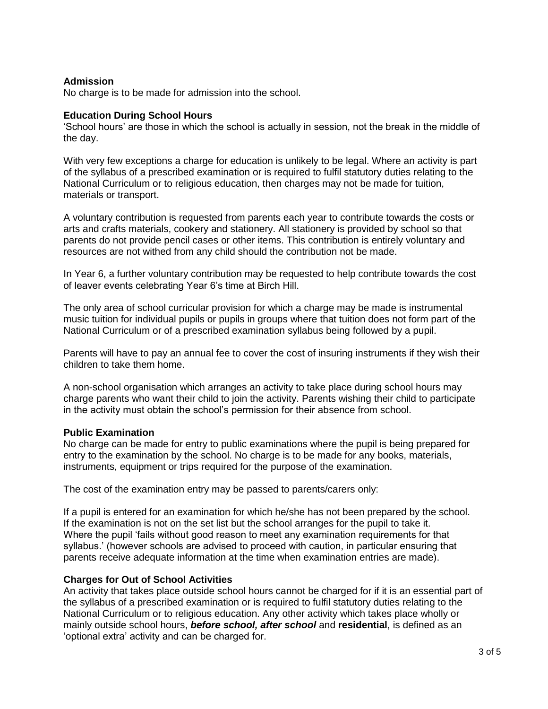# **Admission**

No charge is to be made for admission into the school.

# **Education During School Hours**

'School hours' are those in which the school is actually in session, not the break in the middle of the day.

With very few exceptions a charge for education is unlikely to be legal. Where an activity is part of the syllabus of a prescribed examination or is required to fulfil statutory duties relating to the National Curriculum or to religious education, then charges may not be made for tuition, materials or transport.

A voluntary contribution is requested from parents each year to contribute towards the costs or arts and crafts materials, cookery and stationery. All stationery is provided by school so that parents do not provide pencil cases or other items. This contribution is entirely voluntary and resources are not withed from any child should the contribution not be made.

In Year 6, a further voluntary contribution may be requested to help contribute towards the cost of leaver events celebrating Year 6's time at Birch Hill.

The only area of school curricular provision for which a charge may be made is instrumental music tuition for individual pupils or pupils in groups where that tuition does not form part of the National Curriculum or of a prescribed examination syllabus being followed by a pupil.

Parents will have to pay an annual fee to cover the cost of insuring instruments if they wish their children to take them home.

A non-school organisation which arranges an activity to take place during school hours may charge parents who want their child to join the activity. Parents wishing their child to participate in the activity must obtain the school's permission for their absence from school.

# **Public Examination**

No charge can be made for entry to public examinations where the pupil is being prepared for entry to the examination by the school. No charge is to be made for any books, materials, instruments, equipment or trips required for the purpose of the examination.

The cost of the examination entry may be passed to parents/carers only:

If a pupil is entered for an examination for which he/she has not been prepared by the school. If the examination is not on the set list but the school arranges for the pupil to take it. Where the pupil 'fails without good reason to meet any examination requirements for that syllabus.' (however schools are advised to proceed with caution, in particular ensuring that parents receive adequate information at the time when examination entries are made).

# **Charges for Out of School Activities**

An activity that takes place outside school hours cannot be charged for if it is an essential part of the syllabus of a prescribed examination or is required to fulfil statutory duties relating to the National Curriculum or to religious education. Any other activity which takes place wholly or mainly outside school hours, *before school, after school* and **residential**, is defined as an 'optional extra' activity and can be charged for.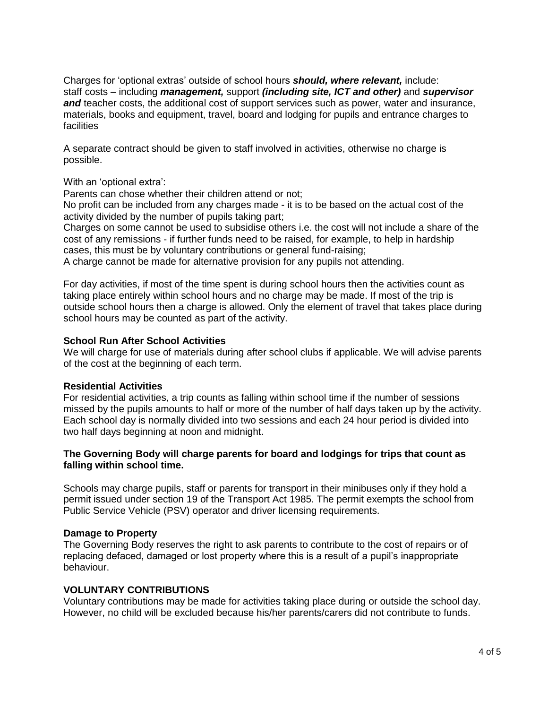Charges for 'optional extras' outside of school hours *should, where relevant,* include: staff costs – including *management,* support *(including site, ICT and other)* and *supervisor*  and teacher costs, the additional cost of support services such as power, water and insurance, materials, books and equipment, travel, board and lodging for pupils and entrance charges to facilities

A separate contract should be given to staff involved in activities, otherwise no charge is possible.

With an 'optional extra':

Parents can chose whether their children attend or not;

No profit can be included from any charges made - it is to be based on the actual cost of the activity divided by the number of pupils taking part;

Charges on some cannot be used to subsidise others i.e. the cost will not include a share of the cost of any remissions - if further funds need to be raised, for example, to help in hardship cases, this must be by voluntary contributions or general fund-raising;

A charge cannot be made for alternative provision for any pupils not attending.

For day activities, if most of the time spent is during school hours then the activities count as taking place entirely within school hours and no charge may be made. If most of the trip is outside school hours then a charge is allowed. Only the element of travel that takes place during school hours may be counted as part of the activity.

#### **School Run After School Activities**

We will charge for use of materials during after school clubs if applicable. We will advise parents of the cost at the beginning of each term.

# **Residential Activities**

For residential activities, a trip counts as falling within school time if the number of sessions missed by the pupils amounts to half or more of the number of half days taken up by the activity. Each school day is normally divided into two sessions and each 24 hour period is divided into two half days beginning at noon and midnight.

# **The Governing Body will charge parents for board and lodgings for trips that count as falling within school time.**

Schools may charge pupils, staff or parents for transport in their minibuses only if they hold a permit issued under section 19 of the Transport Act 1985. The permit exempts the school from Public Service Vehicle (PSV) operator and driver licensing requirements.

# **Damage to Property**

The Governing Body reserves the right to ask parents to contribute to the cost of repairs or of replacing defaced, damaged or lost property where this is a result of a pupil's inappropriate behaviour.

# **VOLUNTARY CONTRIBUTIONS**

Voluntary contributions may be made for activities taking place during or outside the school day. However, no child will be excluded because his/her parents/carers did not contribute to funds.